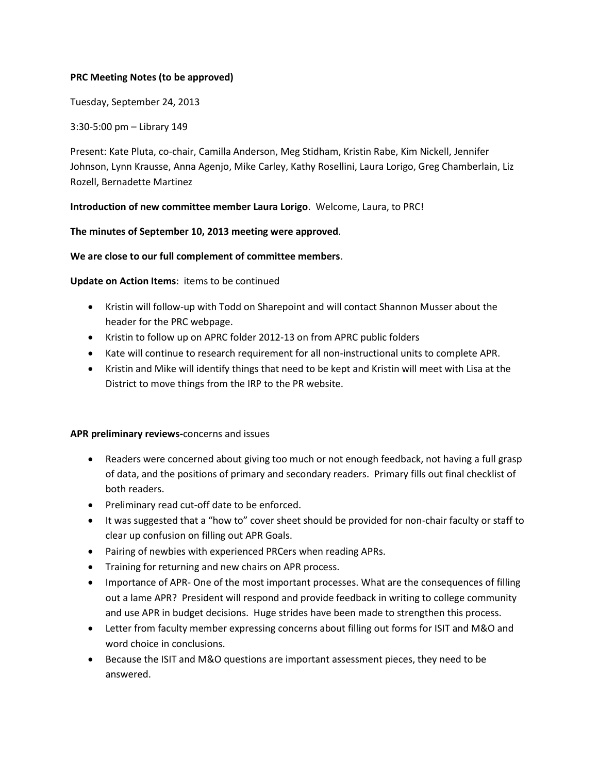## **PRC Meeting Notes (to be approved)**

Tuesday, September 24, 2013

3:30-5:00 pm – Library 149

Present: Kate Pluta, co-chair, Camilla Anderson, Meg Stidham, Kristin Rabe, Kim Nickell, Jennifer Johnson, Lynn Krausse, Anna Agenjo, Mike Carley, Kathy Rosellini, Laura Lorigo, Greg Chamberlain, Liz Rozell, Bernadette Martinez

**Introduction of new committee member Laura Lorigo**. Welcome, Laura, to PRC!

## **The minutes of September 10, 2013 meeting were approved**.

## **We are close to our full complement of committee members**.

**Update on Action Items**: items to be continued

- Kristin will follow-up with Todd on Sharepoint and will contact Shannon Musser about the header for the PRC webpage.
- Kristin to follow up on APRC folder 2012-13 on from APRC public folders
- Kate will continue to research requirement for all non-instructional units to complete APR.
- Kristin and Mike will identify things that need to be kept and Kristin will meet with Lisa at the District to move things from the IRP to the PR website.

## **APR preliminary reviews-**concerns and issues

- Readers were concerned about giving too much or not enough feedback, not having a full grasp of data, and the positions of primary and secondary readers. Primary fills out final checklist of both readers.
- Preliminary read cut-off date to be enforced.
- It was suggested that a "how to" cover sheet should be provided for non-chair faculty or staff to clear up confusion on filling out APR Goals.
- Pairing of newbies with experienced PRCers when reading APRs.
- Training for returning and new chairs on APR process.
- Importance of APR- One of the most important processes. What are the consequences of filling out a lame APR? President will respond and provide feedback in writing to college community and use APR in budget decisions. Huge strides have been made to strengthen this process.
- Letter from faculty member expressing concerns about filling out forms for ISIT and M&O and word choice in conclusions.
- Because the ISIT and M&O questions are important assessment pieces, they need to be answered.